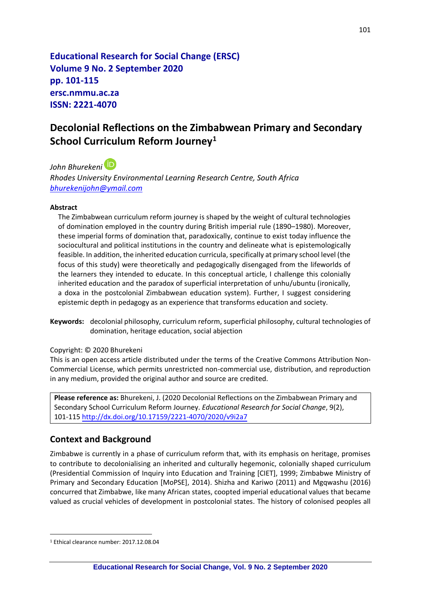**Educational Research for Social Change (ERSC) Volume 9 No. 2 September 2020 pp. 101-115 ersc.nmmu.ac.za ISSN: 2221-4070**

# **Decolonial Reflections on the Zimbabwean Primary and Secondary School Curriculum Reform Journey<sup>1</sup>**

*John Bhurekeni Rhodes University Environmental Learning Research Centre, South Africa [bhurekenijohn@ymail.com](mailto:bhurekenijohn@ymail.com)*

#### **Abstract**

The Zimbabwean curriculum reform journey is shaped by the weight of cultural technologies of domination employed in the country during British imperial rule (1890–1980). Moreover, these imperial forms of domination that, paradoxically, continue to exist today influence the sociocultural and political institutions in the country and delineate what is epistemologically feasible. In addition, the inherited education curricula, specifically at primary school level (the focus of this study) were theoretically and pedagogically disengaged from the lifeworlds of the learners they intended to educate. In this conceptual article, I challenge this colonially inherited education and the paradox of superficial interpretation of unhu/ubuntu (ironically, a doxa in the postcolonial Zimbabwean education system). Further, I suggest considering epistemic depth in pedagogy as an experience that transforms education and society.

**Keywords:** decolonial philosophy, curriculum reform, superficial philosophy, cultural technologies of domination, heritage education, social abjection

Copyright: © 2020 Bhurekeni

This is an open access article distributed under the terms of the Creative Commons Attribution Non-Commercial License, which permits unrestricted non-commercial use, distribution, and reproduction in any medium, provided the original author and source are credited.

**Please reference as:** Bhurekeni, J. (2020 Decolonial Reflections on the Zimbabwean Primary and Secondary School Curriculum Reform Journey. *Educational Research for Social Change*, 9(2), 101-115 [http://dx.doi.org/10.17159/2221-4070/2020/v9i2](http://dx.doi.org/10.17159/2221-4070/2020/v9i2a7)a7

### **Context and Background**

Zimbabwe is currently in a phase of curriculum reform that, with its emphasis on heritage, promises to contribute to decolonialising an inherited and culturally hegemonic, colonially shaped curriculum (Presidential Commission of Inquiry into Education and Training [CIET], 1999; Zimbabwe Ministry of Primary and Secondary Education [MoPSE], 2014). Shizha and Kariwo (2011) and Mgqwashu (2016) concurred that Zimbabwe, like many African states, coopted imperial educational values that became valued as crucial vehicles of development in postcolonial states. The history of colonised peoples all

<sup>1</sup> Ethical clearance number: 2017.12.08.04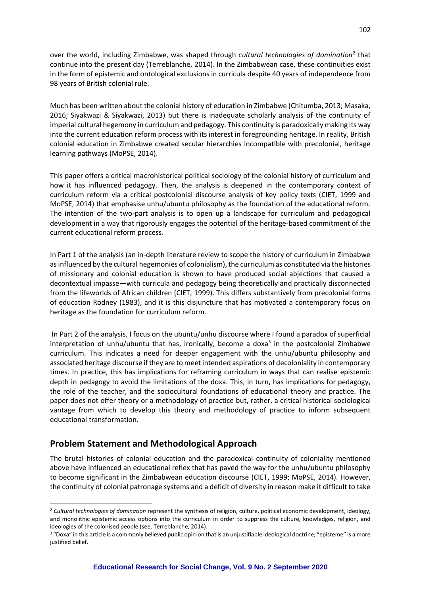over the world, including Zimbabwe, was shaped through *cultural technologies of domination*<sup>2</sup> that continue into the present day (Terreblanche, 2014). In the Zimbabwean case, these continuities exist in the form of epistemic and ontological exclusions in curricula despite 40 years of independence from 98 years of British colonial rule.

Much has been written about the colonial history of education in Zimbabwe (Chitumba, 2013; Masaka, 2016; Siyakwazi & Siyakwazi, 2013) but there is inadequate scholarly analysis of the continuity of imperial cultural hegemony in curriculum and pedagogy. This continuity is paradoxically making its way into the current education reform process with its interest in foregrounding heritage. In reality, British colonial education in Zimbabwe created secular hierarchies incompatible with precolonial, heritage learning pathways (MoPSE, 2014).

This paper offers a critical macrohistorical political sociology of the colonial history of curriculum and how it has influenced pedagogy. Then, the analysis is deepened in the contemporary context of curriculum reform via a critical postcolonial discourse analysis of key policy texts (CIET, 1999 and MoPSE, 2014) that emphasise unhu/ubuntu philosophy as the foundation of the educational reform. The intention of the two-part analysis is to open up a landscape for curriculum and pedagogical development in a way that rigorously engages the potential of the heritage-based commitment of the current educational reform process.

In Part 1 of the analysis (an in-depth literature review to scope the history of curriculum in Zimbabwe as influenced by the cultural hegemonies of colonialism), the curriculum as constituted via the histories of missionary and colonial education is shown to have produced social abjections that caused a decontextual impasse—with curricula and pedagogy being theoretically and practically disconnected from the lifeworlds of African children (CIET, 1999). This differs substantively from precolonial forms of education Rodney (1983), and it is this disjuncture that has motivated a contemporary focus on heritage as the foundation for curriculum reform.

In Part 2 of the analysis, I focus on the ubuntu/unhu discourse where I found a paradox of superficial interpretation of unhu/ubuntu that has, ironically, become a doxa<sup>3</sup> in the postcolonial Zimbabwe curriculum. This indicates a need for deeper engagement with the unhu/ubuntu philosophy and associated heritage discourse if they are to meet intended aspirations of decoloniality in contemporary times. In practice, this has implications for reframing curriculum in ways that can realise epistemic depth in pedagogy to avoid the limitations of the doxa. This, in turn, has implications for pedagogy, the role of the teacher, and the sociocultural foundations of educational theory and practice. The paper does not offer theory or a methodology of practice but, rather, a critical historical sociological vantage from which to develop this theory and methodology of practice to inform subsequent educational transformation.

### **Problem Statement and Methodological Approach**

The brutal histories of colonial education and the paradoxical continuity of coloniality mentioned above have influenced an educational reflex that has paved the way for the unhu/ubuntu philosophy to become significant in the Zimbabwean education discourse (CIET, 1999; MoPSE, 2014). However, the continuity of colonial patronage systems and a deficit of diversity in reason make it difficult to take

<sup>2</sup> *Cultural technologies of domination* represent the synthesis of religion, culture, political economic development, ideology, and monolithic epistemic access options into the curriculum in order to suppress the culture, knowledges, religion, and ideologies of the colonised people (see, Terreblanche, 2014).

<sup>&</sup>lt;sup>3</sup> "Doxa" in this article is a commonly believed public opinion that is an unjustifiable ideological doctrine; "episteme" is a more justified belief.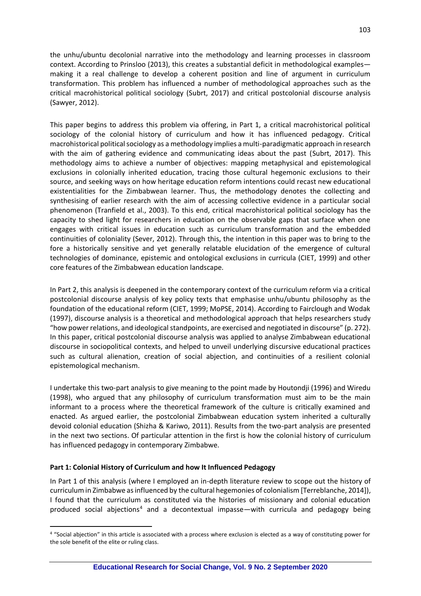the unhu/ubuntu decolonial narrative into the methodology and learning processes in classroom context. According to Prinsloo (2013), this creates a substantial deficit in methodological examples making it a real challenge to develop a coherent position and line of argument in curriculum transformation. This problem has influenced a number of methodological approaches such as the critical macrohistorical political sociology (Subrt, 2017) and critical postcolonial discourse analysis (Sawyer, 2012).

This paper begins to address this problem via offering, in Part 1, a critical macrohistorical political sociology of the colonial history of curriculum and how it has influenced pedagogy. Critical macrohistorical political sociology as a methodology implies a multi-paradigmatic approach in research with the aim of gathering evidence and communicating ideas about the past (Subrt, 2017). This methodology aims to achieve a number of objectives: mapping metaphysical and epistemological exclusions in colonially inherited education, tracing those cultural hegemonic exclusions to their source, and seeking ways on how heritage education reform intentions could recast new educational existentialities for the Zimbabwean learner. Thus, the methodology denotes the collecting and synthesising of earlier research with the aim of accessing collective evidence in a particular social phenomenon (Tranfield et al., 2003). To this end, critical macrohistorical political sociology has the capacity to shed light for researchers in education on the observable gaps that surface when one engages with critical issues in education such as curriculum transformation and the embedded continuities of coloniality (Sever, 2012). Through this, the intention in this paper was to bring to the fore a historically sensitive and yet generally relatable elucidation of the emergence of cultural technologies of dominance, epistemic and ontological exclusions in curricula (CIET, 1999) and other core features of the Zimbabwean education landscape.

In Part 2, this analysis is deepened in the contemporary context of the curriculum reform via a critical postcolonial discourse analysis of key policy texts that emphasise unhu/ubuntu philosophy as the foundation of the educational reform (CIET, 1999; MoPSE, 2014). According to Fairclough and Wodak (1997), discourse analysis is a theoretical and methodological approach that helps researchers study "how power relations, and ideological standpoints, are exercised and negotiated in discourse" (p. 272). In this paper, critical postcolonial discourse analysis was applied to analyse Zimbabwean educational discourse in sociopolitical contexts, and helped to unveil underlying discursive educational practices such as cultural alienation, creation of social abjection, and continuities of a resilient colonial epistemological mechanism.

I undertake this two-part analysis to give meaning to the point made by Houtondji (1996) and Wiredu (1998), who argued that any philosophy of curriculum transformation must aim to be the main informant to a process where the theoretical framework of the culture is critically examined and enacted. As argued earlier, the postcolonial Zimbabwean education system inherited a culturally devoid colonial education (Shizha & Kariwo, 2011). Results from the two-part analysis are presented in the next two sections. Of particular attention in the first is how the colonial history of curriculum has influenced pedagogy in contemporary Zimbabwe.

#### **Part 1: Colonial History of Curriculum and how It Influenced Pedagogy**

In Part 1 of this analysis (where I employed an in-depth literature review to scope out the history of curriculum in Zimbabwe as influenced by the cultural hegemonies of colonialism [Terreblanche, 2014]), I found that the curriculum as constituted via the histories of missionary and colonial education produced social abjections<sup>4</sup> and a decontextual impasse—with curricula and pedagogy being

<sup>4</sup> "Social abjection" in this article is associated with a process where exclusion is elected as a way of constituting power for the sole benefit of the elite or ruling class.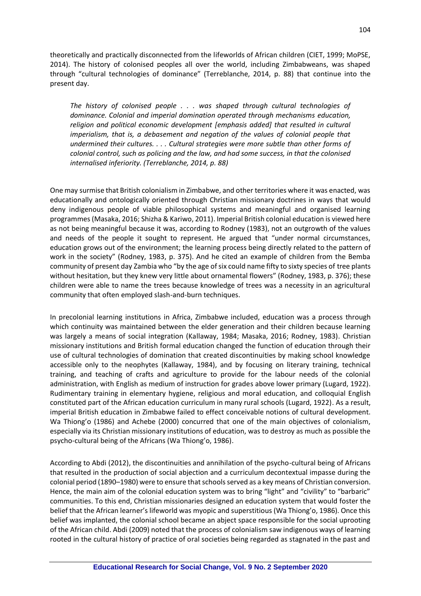theoretically and practically disconnected from the lifeworlds of African children (CIET, 1999; MoPSE, 2014). The history of colonised peoples all over the world, including Zimbabweans, was shaped through "cultural technologies of dominance" (Terreblanche, 2014, p. 88) that continue into the present day.

*The history of colonised people . . . was shaped through cultural technologies of dominance. Colonial and imperial domination operated through mechanisms education, religion and political economic development [emphasis added] that resulted in cultural*  imperialism, that is, a debasement and negation of the values of colonial people that *undermined their cultures. . . . Cultural strategies were more subtle than other forms of colonial control, such as policing and the law, and had some success, in that the colonised internalised inferiority. (Terreblanche, 2014, p. 88)*

One may surmise that British colonialism in Zimbabwe, and other territories where it was enacted, was educationally and ontologically oriented through Christian missionary doctrines in ways that would deny indigenous people of viable philosophical systems and meaningful and organised learning programmes (Masaka, 2016; Shizha & Kariwo, 2011). Imperial British colonial education is viewed here as not being meaningful because it was, according to Rodney (1983), not an outgrowth of the values and needs of the people it sought to represent. He argued that "under normal circumstances, education grows out of the environment; the learning process being directly related to the pattern of work in the society" (Rodney, 1983, p. 375). And he cited an example of children from the Bemba community of present day Zambia who "by the age of six could name fifty to sixty species of tree plants without hesitation, but they knew very little about ornamental flowers" (Rodney, 1983, p. 376); these children were able to name the trees because knowledge of trees was a necessity in an agricultural community that often employed slash-and-burn techniques.

In precolonial learning institutions in Africa, Zimbabwe included, education was a process through which continuity was maintained between the elder generation and their children because learning was largely a means of social integration (Kallaway, 1984; Masaka, 2016; Rodney, 1983). Christian missionary institutions and British formal education changed the function of education through their use of cultural technologies of domination that created discontinuities by making school knowledge accessible only to the neophytes (Kallaway, 1984), and by focusing on literary training, technical training, and teaching of crafts and agriculture to provide for the labour needs of the colonial administration, with English as medium of instruction for grades above lower primary (Lugard, 1922). Rudimentary training in elementary hygiene, religious and moral education, and colloquial English constituted part of the African education curriculum in many rural schools (Lugard, 1922). As a result, imperial British education in Zimbabwe failed to effect conceivable notions of cultural development. Wa Thiong'o (1986) and Achebe (2000) concurred that one of the main objectives of colonialism, especially via its Christian missionary institutions of education, was to destroy as much as possible the psycho-cultural being of the Africans (Wa Thiong'o, 1986).

According to Abdi (2012), the discontinuities and annihilation of the psycho-cultural being of Africans that resulted in the production of social abjection and a curriculum decontextual impasse during the colonial period (1890–1980) were to ensure that schools served as a key means of Christian conversion. Hence, the main aim of the colonial education system was to bring "light" and "civility" to "barbaric" communities. To this end, Christian missionaries designed an education system that would foster the belief that the African learner's lifeworld was myopic and superstitious (Wa Thiong'o, 1986). Once this belief was implanted, the colonial school became an abject space responsible for the social uprooting of the African child. Abdi (2009) noted that the process of colonialism saw indigenous ways of learning rooted in the cultural history of practice of oral societies being regarded as stagnated in the past and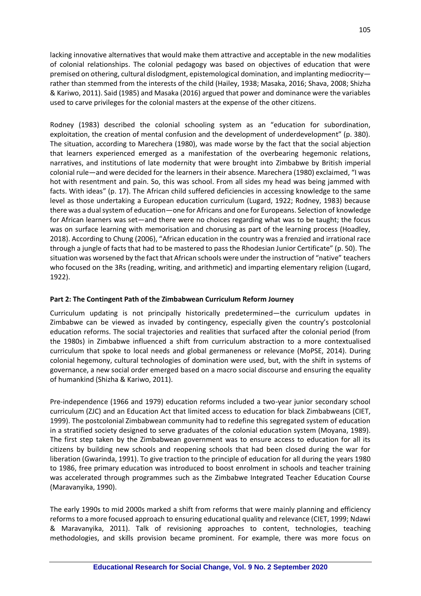lacking innovative alternatives that would make them attractive and acceptable in the new modalities of colonial relationships. The colonial pedagogy was based on objectives of education that were premised on othering, cultural dislodgment, epistemological domination, and implanting mediocrity rather than stemmed from the interests of the child (Hailey, 1938; Masaka, 2016; Shava, 2008; Shizha & Kariwo, 2011). Said (1985) and Masaka (2016) argued that power and dominance were the variables used to carve privileges for the colonial masters at the expense of the other citizens.

Rodney (1983) described the colonial schooling system as an "education for subordination, exploitation, the creation of mental confusion and the development of underdevelopment" (p. 380). The situation, according to Marechera (1980), was made worse by the fact that the social abjection that learners experienced emerged as a manifestation of the overbearing hegemonic relations, narratives, and institutions of late modernity that were brought into Zimbabwe by British imperial colonial rule—and were decided for the learners in their absence. Marechera (1980) exclaimed, "I was hot with resentment and pain. So, this was school. From all sides my head was being jammed with facts. With ideas" (p. 17). The African child suffered deficiencies in accessing knowledge to the same level as those undertaking a European education curriculum (Lugard, 1922; Rodney, 1983) because there was a dual system of education—one for Africans and one for Europeans. Selection of knowledge for African learners was set—and there were no choices regarding what was to be taught; the focus was on surface learning with memorisation and chorusing as part of the learning process (Hoadley, 2018). According to Chung (2006), "African education in the country was a frenzied and irrational race through a jungle of facts that had to be mastered to pass the Rhodesian Junior Certificate" (p. 50). The situation was worsened by the fact that African schools were under the instruction of "native" teachers who focused on the 3Rs (reading, writing, and arithmetic) and imparting elementary religion (Lugard, 1922).

### **Part 2: The Contingent Path of the Zimbabwean Curriculum Reform Journey**

Curriculum updating is not principally historically predetermined—the curriculum updates in Zimbabwe can be viewed as invaded by contingency, especially given the country's postcolonial education reforms. The social trajectories and realities that surfaced after the colonial period (from the 1980s) in Zimbabwe influenced a shift from curriculum abstraction to a more contextualised curriculum that spoke to local needs and global germaneness or relevance (MoPSE, 2014). During colonial hegemony, cultural technologies of domination were used, but, with the shift in systems of governance, a new social order emerged based on a macro social discourse and ensuring the equality of humankind (Shizha & Kariwo, 2011).

Pre-independence (1966 and 1979) education reforms included a two-year junior secondary school curriculum (ZJC) and an Education Act that limited access to education for black Zimbabweans (CIET, 1999). The postcolonial Zimbabwean community had to redefine this segregated system of education in a stratified society designed to serve graduates of the colonial education system (Moyana, 1989). The first step taken by the Zimbabwean government was to ensure access to education for all its citizens by building new schools and reopening schools that had been closed during the war for liberation (Gwarinda, 1991). To give traction to the principle of education for all during the years 1980 to 1986, free primary education was introduced to boost enrolment in schools and teacher training was accelerated through programmes such as the Zimbabwe Integrated Teacher Education Course (Maravanyika, 1990).

The early 1990s to mid 2000s marked a shift from reforms that were mainly planning and efficiency reforms to a more focused approach to ensuring educational quality and relevance (CIET, 1999; Ndawi & Maravanyika, 2011). Talk of revisioning approaches to content, technologies, teaching methodologies, and skills provision became prominent. For example, there was more focus on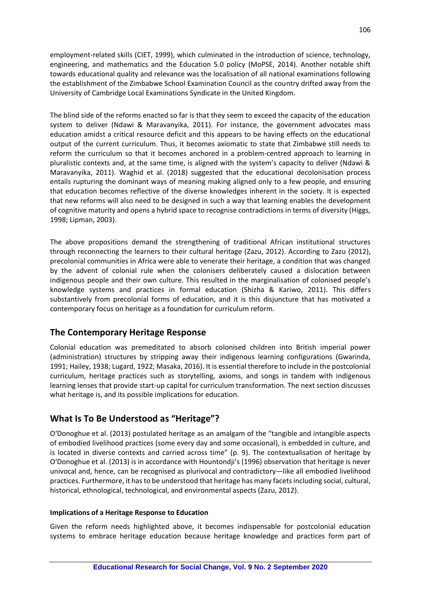employment-related skills (CIET, 1999), which culminated in the introduction of science, technology, engineering, and mathematics and the Education 5.0 policy (MoPSE, 2014). Another notable shift towards educational quality and relevance was the localisation of all national examinations following the establishment of the Zimbabwe School Examination Council as the country drifted away from the University of Cambridge Local Examinations Syndicate in the United Kingdom.

The blind side of the reforms enacted so far is that they seem to exceed the capacity of the education system to deliver (Ndawi & Maravanyika, 2011). For instance, the government advocates mass education amidst a critical resource deficit and this appears to be having effects on the educational output of the current curriculum. Thus, it becomes axiomatic to state that Zimbabwe still needs to reform the curriculum so that it becomes anchored in a problem-centred approach to learning in pluralistic contexts and, at the same time, is aligned with the system's capacity to deliver (Ndawi & Maravanyika, 2011). Waghid et al. (2018) suggested that the educational decolonisation process entails rupturing the dominant ways of meaning making aligned only to a few people, and ensuring that education becomes reflective of the diverse knowledges inherent in the society. It is expected that new reforms will also need to be designed in such a way that learning enables the development of cognitive maturity and opens a hybrid space to recognise contradictions in terms of diversity (Higgs, 1998; Lipman, 2003).

The above propositions demand the strengthening of traditional African institutional structures through reconnecting the learners to their cultural heritage (Zazu, 2012). According to Zazu (2012), precolonial communities in Africa were able to venerate their heritage, a condition that was changed by the advent of colonial rule when the colonisers deliberately caused a dislocation between indigenous people and their own culture. This resulted in the marginalisation of colonised people's knowledge systems and practices in formal education (Shizha & Kariwo, 2011). This differs substantively from precolonial forms of education, and it is this disjuncture that has motivated a contemporary focus on heritage as a foundation for curriculum reform.

### **The Contemporary Heritage Response**

Colonial education was premeditated to absorb colonised children into British imperial power (administration) structures by stripping away their indigenous learning configurations (Gwarinda, 1991; Hailey, 1938; Lugard, 1922; Masaka, 2016). It is essential therefore to include in the postcolonial curriculum, heritage practices such as storytelling, axioms, and songs in tandem with indigenous learning lenses that provide start-up capital for curriculum transformation. The next section discusses what heritage is, and its possible implications for education.

## **What Is To Be Understood as "Heritage"?**

O'Donoghue et al. (2013) postulated heritage as an amalgam of the "tangible and intangible aspects of embodied livelihood practices (some every day and some occasional), is embedded in culture, and is located in diverse contexts and carried across time" (p. 9). The contextualisation of heritage by O'Donoghue et al. (2013) is in accordance with Hountondji's (1996) observation that heritage is never univocal and, hence, can be recognised as plurivocal and contradictory—like all embodied livelihood practices. Furthermore, it has to be understood that heritage has many facets including social, cultural, historical, ethnological, technological, and environmental aspects (Zazu, 2012).

#### **Implications of a Heritage Response to Education**

Given the reform needs highlighted above, it becomes indispensable for postcolonial education systems to embrace heritage education because heritage knowledge and practices form part of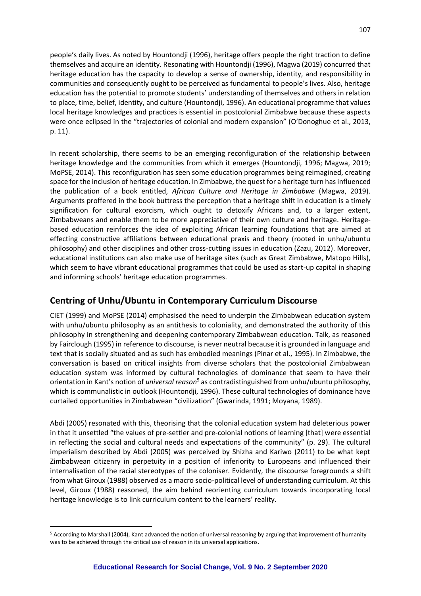people's daily lives. As noted by Hountondji (1996), heritage offers people the right traction to define themselves and acquire an identity. Resonating with Hountondji (1996), Magwa (2019) concurred that heritage education has the capacity to develop a sense of ownership, identity, and responsibility in communities and consequently ought to be perceived as fundamental to people's lives. Also, heritage education has the potential to promote students' understanding of themselves and others in relation to place, time, belief, identity, and culture (Hountondji, 1996). An educational programme that values local heritage knowledges and practices is essential in postcolonial Zimbabwe because these aspects were once eclipsed in the "trajectories of colonial and modern expansion" (O'Donoghue et al., 2013, p. 11).

In recent scholarship, there seems to be an emerging reconfiguration of the relationship between heritage knowledge and the communities from which it emerges (Hountondji, 1996; Magwa, 2019; MoPSE, 2014). This reconfiguration has seen some education programmes being reimagined, creating space for the inclusion of heritage education. In Zimbabwe, the quest for a heritage turn has influenced the publication of a book entitled, *African Culture and Heritage in Zimbabwe* (Magwa, 2019). Arguments proffered in the book buttress the perception that a heritage shift in education is a timely signification for cultural exorcism, which ought to detoxify Africans and, to a larger extent, Zimbabweans and enable them to be more appreciative of their own culture and heritage. Heritagebased education reinforces the idea of exploiting African learning foundations that are aimed at effecting constructive affiliations between educational praxis and theory (rooted in unhu/ubuntu philosophy) and other disciplines and other cross-cutting issues in education (Zazu, 2012). Moreover, educational institutions can also make use of heritage sites (such as Great Zimbabwe, Matopo Hills), which seem to have vibrant educational programmes that could be used as start-up capital in shaping and informing schools' heritage education programmes.

## **Centring of Unhu/Ubuntu in Contemporary Curriculum Discourse**

CIET (1999) and MoPSE (2014) emphasised the need to underpin the Zimbabwean education system with unhu/ubuntu philosophy as an antithesis to coloniality, and demonstrated the authority of this philosophy in strengthening and deepening contemporary Zimbabwean education. Talk, as reasoned by Fairclough (1995) in reference to discourse, is never neutral because it is grounded in language and text that is socially situated and as such has embodied meanings (Pinar et al., 1995). In Zimbabwe, the conversation is based on critical insights from diverse scholars that the postcolonial Zimbabwean education system was informed by cultural technologies of dominance that seem to have their orientation in Kant's notion of *universal reason*<sup>5</sup> as contradistinguished from unhu/ubuntu philosophy, which is communalistic in outlook (Hountondji, 1996). These cultural technologies of dominance have curtailed opportunities in Zimbabwean "civilization" (Gwarinda, 1991; Moyana, 1989).

Abdi (2005) resonated with this, theorising that the colonial education system had deleterious power in that it unsettled "the values of pre-settler and pre-colonial notions of learning [that] were essential in reflecting the social and cultural needs and expectations of the community" (p. 29). The cultural imperialism described by Abdi (2005) was perceived by Shizha and Kariwo (2011) to be what kept Zimbabwean citizenry in perpetuity in a position of inferiority to Europeans and influenced their internalisation of the racial stereotypes of the coloniser. Evidently, the discourse foregrounds a shift from what Giroux (1988) observed as a macro socio-political level of understanding curriculum. At this level, Giroux (1988) reasoned, the aim behind reorienting curriculum towards incorporating local heritage knowledge is to link curriculum content to the learners' reality.

<sup>5</sup> According to Marshall (2004), Kant advanced the notion of universal reasoning by arguing that improvement of humanity was to be achieved through the critical use of reason in its universal applications.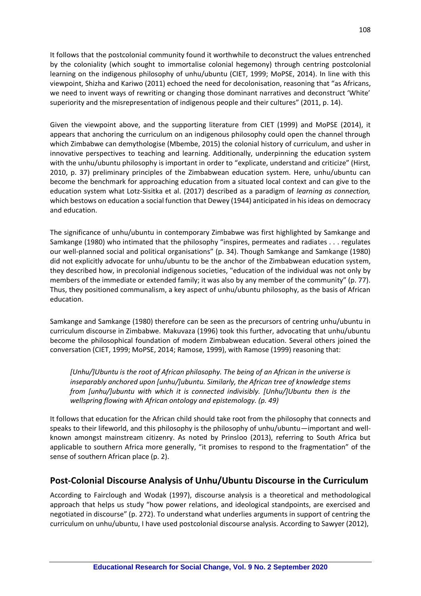It follows that the postcolonial community found it worthwhile to deconstruct the values entrenched by the coloniality (which sought to immortalise colonial hegemony) through centring postcolonial learning on the indigenous philosophy of unhu/ubuntu (CIET, 1999; MoPSE, 2014). In line with this viewpoint, Shizha and Kariwo (2011) echoed the need for decolonisation, reasoning that "as Africans, we need to invent ways of rewriting or changing those dominant narratives and deconstruct 'White' superiority and the misrepresentation of indigenous people and their cultures" (2011, p. 14).

Given the viewpoint above, and the supporting literature from CIET (1999) and MoPSE (2014), it appears that anchoring the curriculum on an indigenous philosophy could open the channel through which Zimbabwe can demythologise (Mbembe, 2015) the colonial history of curriculum, and usher in innovative perspectives to teaching and learning. Additionally, underpinning the education system with the unhu/ubuntu philosophy is important in order to "explicate, understand and criticize" (Hirst, 2010, p. 37) preliminary principles of the Zimbabwean education system. Here, unhu/ubuntu can become the benchmark for approaching education from a situated local context and can give to the education system what Lotz-Sisitka et al. (2017) described as a paradigm of *learning as connection,* which bestows on education a social function that Dewey (1944) anticipated in his ideas on democracy and education.

The significance of unhu/ubuntu in contemporary Zimbabwe was first highlighted by Samkange and Samkange (1980) who intimated that the philosophy "inspires, permeates and radiates . . . regulates our well-planned social and political organisations" (p. 34). Though Samkange and Samkange (1980) did not explicitly advocate for unhu/ubuntu to be the anchor of the Zimbabwean education system, they described how, in precolonial indigenous societies, "education of the individual was not only by members of the immediate or extended family; it was also by any member of the community" (p. 77). Thus, they positioned communalism, a key aspect of unhu/ubuntu philosophy, as the basis of African education.

Samkange and Samkange (1980) therefore can be seen as the precursors of centring unhu/ubuntu in curriculum discourse in Zimbabwe. Makuvaza (1996) took this further, advocating that unhu/ubuntu become the philosophical foundation of modern Zimbabwean education. Several others joined the conversation (CIET, 1999; MoPSE, 2014; Ramose, 1999), with Ramose (1999) reasoning that:

*[Unhu/]Ubuntu is the root of African philosophy. The being of an African in the universe is inseparably anchored upon [unhu/]ubuntu. Similarly, the African tree of knowledge stems from [unhu/]ubuntu with which it is connected indivisibly. [Unhu/]Ubuntu then is the wellspring flowing with African ontology and epistemology. (p. 49)*

It follows that education for the African child should take root from the philosophy that connects and speaks to their lifeworld, and this philosophy is the philosophy of unhu/ubuntu—important and wellknown amongst mainstream citizenry. As noted by Prinsloo (2013), referring to South Africa but applicable to southern Africa more generally, "it promises to respond to the fragmentation" of the sense of southern African place (p. 2).

## **Post-Colonial Discourse Analysis of Unhu/Ubuntu Discourse in the Curriculum**

According to Fairclough and Wodak (1997), discourse analysis is a theoretical and methodological approach that helps us study "how power relations, and ideological standpoints, are exercised and negotiated in discourse" (p. 272). To understand what underlies arguments in support of centring the curriculum on unhu/ubuntu, I have used postcolonial discourse analysis. According to Sawyer (2012),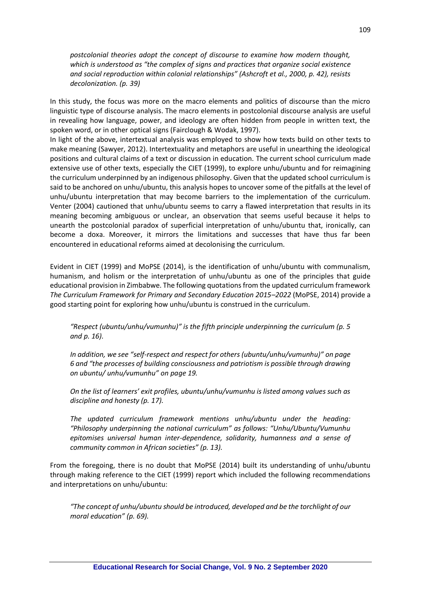*postcolonial theories adopt the concept of discourse to examine how modern thought, which is understood as "the complex of signs and practices that organize social existence and social reproduction within colonial relationships" (Ashcroft et al., 2000, p. 42), resists decolonization. (p. 39)*

In this study, the focus was more on the macro elements and politics of discourse than the micro linguistic type of discourse analysis. The macro elements in postcolonial discourse analysis are useful in revealing how language, power, and ideology are often hidden from people in written text, the spoken word, or in other optical signs (Fairclough & Wodak, 1997).

In light of the above, intertextual analysis was employed to show how texts build on other texts to make meaning (Sawyer, 2012). Intertextuality and metaphors are useful in unearthing the ideological positions and cultural claims of a text or discussion in education. The current school curriculum made extensive use of other texts, especially the CIET (1999), to explore unhu/ubuntu and for reimagining the curriculum underpinned by an indigenous philosophy. Given that the updated school curriculum is said to be anchored on unhu/ubuntu, this analysis hopes to uncover some of the pitfalls at the level of unhu/ubuntu interpretation that may become barriers to the implementation of the curriculum. Venter (2004) cautioned that unhu/ubuntu seems to carry a flawed interpretation that results in its meaning becoming ambiguous or unclear, an observation that seems useful because it helps to unearth the postcolonial paradox of superficial interpretation of unhu/ubuntu that, ironically, can become a doxa. Moreover, it mirrors the limitations and successes that have thus far been encountered in educational reforms aimed at decolonising the curriculum.

Evident in CIET (1999) and MoPSE (2014), is the identification of unhu/ubuntu with communalism, humanism, and holism or the interpretation of unhu/ubuntu as one of the principles that guide educational provision in Zimbabwe. The following quotations from the updated curriculum framework *The Curriculum Framework for Primary and Secondary Education 2015–2022* (MoPSE, 2014) provide a good starting point for exploring how unhu/ubuntu is construed in the curriculum.

*"Respect (ubuntu/unhu/vumunhu)" is the fifth principle underpinning the curriculum (p. 5 and p. 16).* 

*In addition, we see "self-respect and respect for others (ubuntu/unhu/vumunhu)" on page 6 and "the processes of building consciousness and patriotism is possible through drawing on ubuntu/ unhu/vumunhu" on page 19.* 

*On the list of learners' exit profiles, ubuntu/unhu/vumunhu is listed among values such as discipline and honesty (p. 17).* 

*The updated curriculum framework mentions unhu/ubuntu under the heading: "Philosophy underpinning the national curriculum" as follows: "Unhu/Ubuntu/Vumunhu epitomises universal human inter-dependence, solidarity, humanness and a sense of community common in African societies" (p. 13).* 

From the foregoing, there is no doubt that MoPSE (2014) built its understanding of unhu/ubuntu through making reference to the CIET (1999) report which included the following recommendations and interpretations on unhu/ubuntu:

*"The concept of unhu/ubuntu should be introduced, developed and be the torchlight of our moral education" (p. 69).*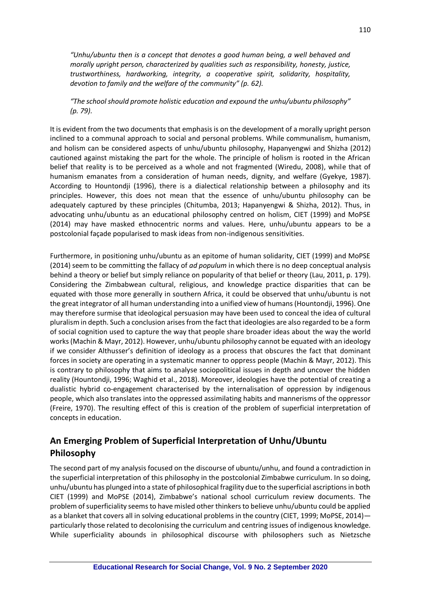*"Unhu/ubuntu then is a concept that denotes a good human being, a well behaved and morally upright person, characterized by qualities such as responsibility, honesty, justice, trustworthiness, hardworking, integrity, a cooperative spirit, solidarity, hospitality, devotion to family and the welfare of the community" (p. 62).*

*"The school should promote holistic education and expound the unhu/ubuntu philosophy" (p. 79).* 

It is evident from the two documents that emphasis is on the development of a morally upright person inclined to a communal approach to social and personal problems. While communalism, humanism, and holism can be considered aspects of unhu/ubuntu philosophy, Hapanyengwi and Shizha (2012) cautioned against mistaking the part for the whole. The principle of holism is rooted in the African belief that reality is to be perceived as a whole and not fragmented (Wiredu, 2008), while that of humanism emanates from a consideration of human needs, dignity, and welfare (Gyekye, 1987). According to Hountondji (1996), there is a dialectical relationship between a philosophy and its principles. However, this does not mean that the essence of unhu/ubuntu philosophy can be adequately captured by these principles (Chitumba, 2013; Hapanyengwi & Shizha, 2012). Thus, in advocating unhu/ubuntu as an educational philosophy centred on holism, CIET (1999) and MoPSE (2014) may have masked ethnocentric norms and values. Here, unhu/ubuntu appears to be a postcolonial façade popularised to mask ideas from non-indigenous sensitivities.

Furthermore, in positioning unhu/ubuntu as an epitome of human solidarity, CIET (1999) and MoPSE (2014) seem to be committing the fallacy of *ad populum* in which there is no deep conceptual analysis behind a theory or belief but simply reliance on popularity of that belief or theory (Lau, 2011, p. 179). Considering the Zimbabwean cultural, religious, and knowledge practice disparities that can be equated with those more generally in southern Africa, it could be observed that unhu/ubuntu is not the great integrator of all human understanding into a unified view of humans (Hountondji, 1996). One may therefore surmise that ideological persuasion may have been used to conceal the idea of cultural pluralism in depth. Such a conclusion arises from the fact that ideologies are also regarded to be a form of social cognition used to capture the way that people share broader ideas about the way the world works (Machin & Mayr, 2012). However, unhu/ubuntu philosophy cannot be equated with an ideology if we consider Althusser's definition of ideology as a process that obscures the fact that dominant forces in society are operating in a systematic manner to oppress people (Machin & Mayr, 2012). This is contrary to philosophy that aims to analyse sociopolitical issues in depth and uncover the hidden reality (Hountondji, 1996; Waghid et al., 2018). Moreover, ideologies have the potential of creating a dualistic hybrid co-engagement characterised by the internalisation of oppression by indigenous people, which also translates into the oppressed assimilating habits and mannerisms of the oppressor (Freire, 1970). The resulting effect of this is creation of the problem of superficial interpretation of concepts in education.

## **An Emerging Problem of Superficial Interpretation of Unhu/Ubuntu Philosophy**

The second part of my analysis focused on the discourse of ubuntu/unhu, and found a contradiction in the superficial interpretation of this philosophy in the postcolonial Zimbabwe curriculum. In so doing, unhu/ubuntu has plunged into a state of philosophical fragility due to the superficial ascriptions in both CIET (1999) and MoPSE (2014), Zimbabwe's national school curriculum review documents. The problem of superficiality seems to have misled other thinkers to believe unhu/ubuntu could be applied as a blanket that covers all in solving educational problems in the country (CIET, 1999; MoPSE, 2014) particularly those related to decolonising the curriculum and centring issues of indigenous knowledge. While superficiality abounds in philosophical discourse with philosophers such as Nietzsche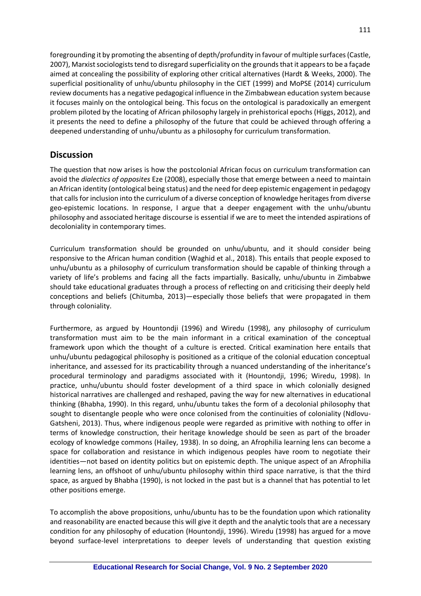foregrounding it by promoting the absenting of depth/profundity in favour of multiple surfaces (Castle, 2007), Marxist sociologists tend to disregard superficiality on the grounds that it appears to be a façade aimed at concealing the possibility of exploring other critical alternatives (Hardt & Weeks, 2000). The superficial positionality of unhu/ubuntu philosophy in the CIET (1999) and MoPSE (2014) curriculum review documents has a negative pedagogical influence in the Zimbabwean education system because it focuses mainly on the ontological being. This focus on the ontological is paradoxically an emergent problem piloted by the locating of African philosophy largely in prehistorical epochs (Higgs, 2012), and it presents the need to define a philosophy of the future that could be achieved through offering a deepened understanding of unhu/ubuntu as a philosophy for curriculum transformation.

### **Discussion**

The question that now arises is how the postcolonial African focus on curriculum transformation can avoid the *dialectics of opposites* Eze (2008), especially those that emerge between a need to maintain an African identity (ontological being status) and the need for deep epistemic engagement in pedagogy that calls for inclusion into the curriculum of a diverse conception of knowledge heritages from diverse geo-epistemic locations. In response, I argue that a deeper engagement with the unhu/ubuntu philosophy and associated heritage discourse is essential if we are to meet the intended aspirations of decoloniality in contemporary times.

Curriculum transformation should be grounded on unhu/ubuntu, and it should consider being responsive to the African human condition (Waghid et al., 2018). This entails that people exposed to unhu/ubuntu as a philosophy of curriculum transformation should be capable of thinking through a variety of life's problems and facing all the facts impartially. Basically, unhu/ubuntu in Zimbabwe should take educational graduates through a process of reflecting on and criticising their deeply held conceptions and beliefs (Chitumba, 2013)—especially those beliefs that were propagated in them through coloniality.

Furthermore, as argued by Hountondji (1996) and Wiredu (1998), any philosophy of curriculum transformation must aim to be the main informant in a critical examination of the conceptual framework upon which the thought of a culture is erected. Critical examination here entails that unhu/ubuntu pedagogical philosophy is positioned as a critique of the colonial education conceptual inheritance, and assessed for its practicability through a nuanced understanding of the inheritance's procedural terminology and paradigms associated with it (Hountondji, 1996; Wiredu, 1998). In practice, unhu/ubuntu should foster development of a third space in which colonially designed historical narratives are challenged and reshaped, paving the way for new alternatives in educational thinking (Bhabha, 1990). In this regard, unhu/ubuntu takes the form of a decolonial philosophy that sought to disentangle people who were once colonised from the continuities of coloniality (Ndlovu-Gatsheni, 2013). Thus, where indigenous people were regarded as primitive with nothing to offer in terms of knowledge construction, their heritage knowledge should be seen as part of the broader ecology of knowledge commons (Hailey, 1938). In so doing, an Afrophilia learning lens can become a space for collaboration and resistance in which indigenous peoples have room to negotiate their identities—not based on identity politics but on epistemic depth. The unique aspect of an Afrophilia learning lens, an offshoot of unhu/ubuntu philosophy within third space narrative, is that the third space, as argued by Bhabha (1990), is not locked in the past but is a channel that has potential to let other positions emerge.

To accomplish the above propositions, unhu/ubuntu has to be the foundation upon which rationality and reasonability are enacted because this will give it depth and the analytic tools that are a necessary condition for any philosophy of education (Hountondji, 1996). Wiredu (1998) has argued for a move beyond surface-level interpretations to deeper levels of understanding that question existing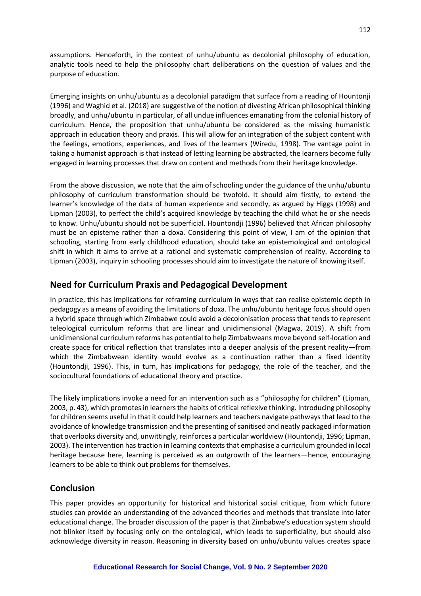assumptions. Henceforth, in the context of unhu/ubuntu as decolonial philosophy of education, analytic tools need to help the philosophy chart deliberations on the question of values and the purpose of education.

Emerging insights on unhu/ubuntu as a decolonial paradigm that surface from a reading of Hountonji (1996) and Waghid et al. (2018) are suggestive of the notion of divesting African philosophical thinking broadly, and unhu/ubuntu in particular, of all undue influences emanating from the colonial history of curriculum. Hence, the proposition that unhu/ubuntu be considered as the missing humanistic approach in education theory and praxis. This will allow for an integration of the subject content with the feelings, emotions, experiences, and lives of the learners (Wiredu, 1998). The vantage point in taking a humanist approach is that instead of letting learning be abstracted, the learners become fully engaged in learning processes that draw on content and methods from their heritage knowledge.

From the above discussion, we note that the aim of schooling under the guidance of the unhu/ubuntu philosophy of curriculum transformation should be twofold. It should aim firstly, to extend the learner's knowledge of the data of human experience and secondly, as argued by Higgs (1998) and Lipman (2003), to perfect the child's acquired knowledge by teaching the child what he or she needs to know. Unhu/ubuntu should not be superficial. Hountondji (1996) believed that African philosophy must be an episteme rather than a doxa. Considering this point of view, I am of the opinion that schooling, starting from early childhood education, should take an epistemological and ontological shift in which it aims to arrive at a rational and systematic comprehension of reality. According to Lipman (2003), inquiry in schooling processes should aim to investigate the nature of knowing itself.

### **Need for Curriculum Praxis and Pedagogical Development**

In practice, this has implications for reframing curriculum in ways that can realise epistemic depth in pedagogy as a means of avoiding the limitations of doxa. The unhu/ubuntu heritage focus should open a hybrid space through which Zimbabwe could avoid a decolonisation process that tends to represent teleological curriculum reforms that are linear and unidimensional (Magwa, 2019). A shift from unidimensional curriculum reforms has potential to help Zimbabweans move beyond self-location and create space for critical reflection that translates into a deeper analysis of the present reality—from which the Zimbabwean identity would evolve as a continuation rather than a fixed identity (Hountondji, 1996). This, in turn, has implications for pedagogy, the role of the teacher, and the sociocultural foundations of educational theory and practice.

The likely implications invoke a need for an intervention such as a "philosophy for children" (Lipman, 2003, p. 43), which promotes in learners the habits of critical reflexive thinking. Introducing philosophy for children seems useful in that it could help learners and teachers navigate pathways that lead to the avoidance of knowledge transmission and the presenting of sanitised and neatly packaged information that overlooks diversity and, unwittingly, reinforces a particular worldview (Hountondji, 1996; Lipman, 2003). The intervention has traction in learning contexts that emphasise a curriculum grounded in local heritage because here, learning is perceived as an outgrowth of the learners—hence, encouraging learners to be able to think out problems for themselves.

### **Conclusion**

This paper provides an opportunity for historical and historical social critique, from which future studies can provide an understanding of the advanced theories and methods that translate into later educational change. The broader discussion of the paper is that Zimbabwe's education system should not blinker itself by focusing only on the ontological, which leads to superficiality, but should also acknowledge diversity in reason. Reasoning in diversity based on unhu/ubuntu values creates space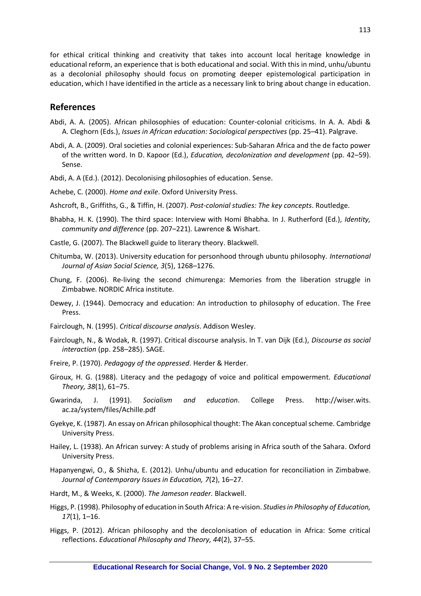for ethical critical thinking and creativity that takes into account local heritage knowledge in educational reform, an experience that is both educational and social. With this in mind, unhu/ubuntu as a decolonial philosophy should focus on promoting deeper epistemological participation in education, which I have identified in the article as a necessary link to bring about change in education.

#### **References**

- Abdi, A. A. (2005). African philosophies of education: Counter-colonial criticisms. In A. A. Abdi & A. Cleghorn (Eds.), *Issues in African education: Sociological perspectives* (pp. 25–41). Palgrave.
- Abdi, A. A. (2009). Oral societies and colonial experiences: Sub-Saharan Africa and the de facto power of the written word. In D. Kapoor (Ed.), *Education, decolonization and development* (pp. 42–59). Sense.
- Abdi, A. A (Ed.). (2012). Decolonising philosophies of education. Sense.
- Achebe, C. (2000). *Home and exile*. Oxford University Press.
- Ashcroft, B., Griffiths, G., & Tiffin, H. (2007). *Post-colonial studies: The key concepts*. Routledge.
- Bhabha, H. K. (1990). The third space: Interview with Homi Bhabha. In J. Rutherford (Ed.), *Identity, community and difference* (pp. 207–221)*.* Lawrence & Wishart.
- Castle, G. (2007). The Blackwell guide to literary theory. Blackwell.
- Chitumba, W. (2013). University education for personhood through ubuntu philosophy. *International Journal of Asian Social Science, 3*(5), 1268–1276.
- Chung, F. (2006). Re-living the second chimurenga: Memories from the liberation struggle in Zimbabwe. NORDIC Africa institute.
- Dewey, J. (1944). Democracy and education: An introduction to philosophy of education. The Free Press.
- Fairclough, N. (1995). *Critical discourse analysis*. Addison Wesley.
- Fairclough, N., & Wodak, R. (1997). Critical discourse analysis. In T. van Dijk (Ed.), *Discourse as social interaction* (pp. 258–285). SAGE.
- Freire, P. (1970). *Pedagogy of the oppressed*. Herder & Herder.
- Giroux, H. G. (1988). Literacy and the pedagogy of voice and political empowerment. *Educational Theory, 38*(1), 61–75.
- Gwarinda, J. (1991). *Socialism and education*. College Press. http://wiser.wits. ac.za/system/files/Achille.pdf
- Gyekye, K. (1987). An essay on African philosophical thought: The Akan conceptual scheme. Cambridge University Press.
- Hailey, L. (1938). An African survey: A study of problems arising in Africa south of the Sahara. Oxford University Press.
- Hapanyengwi, O., & Shizha, E. (2012). Unhu/ubuntu and education for reconciliation in Zimbabwe. *Journal of Contemporary Issues in Education, 7*(2), 16–27.
- Hardt, M., & Weeks, K. (2000). *The Jameson reader.* Blackwell.
- Higgs, P. (1998). Philosophy of education in South Africa: A re-vision. *Studies in Philosophy of Education, 17*(1), 1–16.
- Higgs, P. (2012). African philosophy and the decolonisation of education in Africa: Some critical reflections. *Educational Philosophy and Theory, 44*(2), 37–55.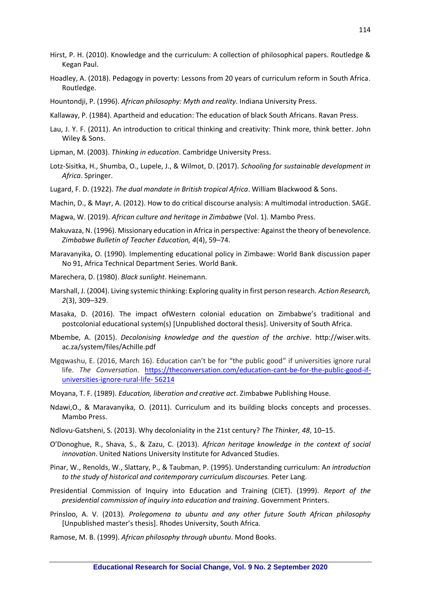- Hirst, P. H. (2010). Knowledge and the curriculum: A collection of philosophical papers. Routledge & Kegan Paul.
- Hoadley, A. (2018). Pedagogy in poverty: Lessons from 20 years of curriculum reform in South Africa. Routledge.
- Hountondji, P. (1996). *African philosophy: Myth and reality*. Indiana University Press.
- Kallaway, P. (1984). Apartheid and education: The education of black South Africans. Ravan Press.
- Lau, J. Y. F. (2011). An introduction to critical thinking and creativity: Think more, think better. John Wiley & Sons.
- Lipman, M. (2003). *Thinking in education*. Cambridge University Press.
- Lotz-Sisitka, H., Shumba, O., Lupele, J., & Wilmot, D. (2017). *Schooling for sustainable development in Africa*. Springer.
- Lugard, F. D. (1922). *The dual mandate in British tropical Africa*. William Blackwood & Sons.

Machin, D., & Mayr, A. (2012). How to do critical discourse analysis: A multimodal introduction. SAGE.

- Magwa, W. (2019). *African culture and heritage in Zimbabwe* (Vol. 1). Mambo Press.
- Makuvaza, N. (1996). Missionary education in Africa in perspective: Against the theory of benevolence. *Zimbabwe Bulletin of Teacher Education, 4*(4), 59–74.
- Maravanyika, O. (1990). Implementing educational policy in Zimbawe: World Bank discussion paper No 91, Africa Technical Department Series. World Bank.
- Marechera, D. (1980). *Black sunlight*. Heinemann.
- Marshall, J. (2004). Living systemic thinking: Exploring quality in first person research*. Action Research, 2*(3), 309–329.
- Masaka, D. (2016). The impact ofWestern colonial education on Zimbabwe's traditional and postcolonial educational system(s) [Unpublished doctoral thesis]. University of South Africa.
- Mbembe, A. (2015). *Decolonising knowledge and the question of the archive*. http://wiser.wits. ac.za/system/files/Achille.pdf
- Mgqwashu, E. (2016, March 16). Education can't be for "the public good" if universities ignore rural life. *The Conversation*. [https://theconversation.com/education-cant-be-for-the-public-good-if](https://theconversation.com/education-cant-be-for-the-public-good-if-universities-ignore-rural-life-%2056214)[universities-ignore-rural-life-](https://theconversation.com/education-cant-be-for-the-public-good-if-universities-ignore-rural-life-%2056214) 56214
- Moyana, T. F. (1989). *Education, liberation and creative act*. Zimbabwe Publishing House.
- Ndawi,O., & Maravanyika, O. (2011). Curriculum and its building blocks concepts and processes. Mambo Press.
- Ndlovu-Gatsheni, S. (2013). Why decoloniality in the 21st century? *The Thinker, 48*, 10–15.
- O'Donoghue, R., Shava, S., & Zazu, C. (2013). *African heritage knowledge in the context of social innovation*. United Nations University Institute for Advanced Studies.
- Pinar, W., Renolds, W., Slattary, P., & Taubman, P. (1995). Understanding curriculum: A*n introduction to the study of historical and contemporary curriculum discourses.* Peter Lang.
- Presidential Commission of Inquiry into Education and Training (CIET). (1999). *Report of the presidential commission of inquiry into education and training*. Government Printers.
- Prinsloo, A. V. (2013). *Prolegomena to ubuntu and any other future South African philosophy* [Unpublished master's thesis]. Rhodes University, South Africa.
- Ramose, M. B. (1999). *African philosophy through ubuntu*. Mond Books.